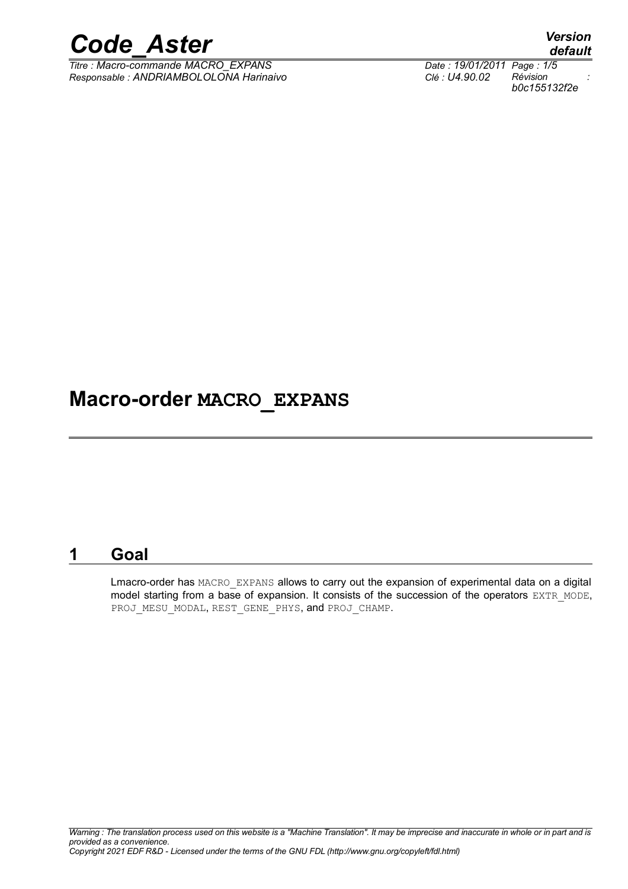

*Titre : Macro-commande MACRO\_EXPANS Date : 19/01/2011 Page : 1/5 Responsable : ANDRIAMBOLOLONA Harinaivo Clé : U4.90.02 Révision :*

## **Macro-order MACRO\_EXPANS**

### **1 Goal**

Lmacro-order has MACRO EXPANS allows to carry out the expansion of experimental data on a digital model starting from a base of expansion. It consists of the succession of the operators EXTR\_MODE, PROJ\_MESU\_MODAL, REST\_GENE\_PHYS, and PROJ\_CHAMP.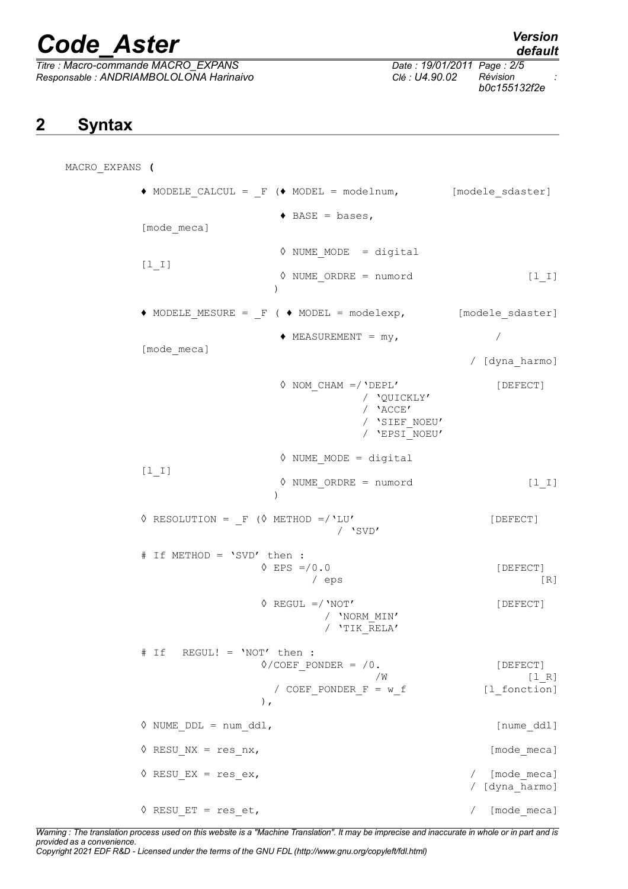# *Code\_Aster Version*

 $Titre : *Macro*-*commande MACRO EXPANS*$ </u> *Responsable : ANDRIAMBOLOLONA Harinaivo Clé : U4.90.02 Révision :*

# *default*

*b0c155132f2e*

## **2 Syntax**

MACRO\_EXPANS **(** ♦ MODELE\_CALCUL = \_F (♦ MODEL = modelnum, [modele\_sdaster]  $\triangleleft$  BASE = bases, [mode\_meca]  $\Diamond$  NUME MODE = digital [l\_I] ◊ NUME\_ORDRE = numord [l\_I]  $)$  $\triangle$  MODELE MESURE =  $F$  (  $\triangle$  MODEL = modelexp, [modele sdaster]  $\triangle$  MEASUREMENT =  $my$ ,  $/$ [mode\_meca] / [dyna\_harmo]  $\Diamond$  NOM CHAM =/'DEPL' [DEFECT] / 'QUICKLY' / 'ACCE' / 'SIEF\_NOEU' / 'EPSI\_NOEU' ◊ NUME\_MODE = digital  $[1 I]$  ◊ NUME\_ORDRE = numord [l\_I] ) ◊ RESOLUTION = \_F (◊ METHOD =/'LU' [DEFECT] / 'SVD' # If METHOD = 'SVD' then :  $\Diamond$  EPS =/0.0 [DEFECT]  $\angle$  eps [R]  $\Diamond$  REGUL =/ 'NOT' [DEFECT] / 'NORM\_MIN' / 'TIK\_RELA' # If REGUL! = 'NOT' then :  $\sqrt[6]{\text{COEF}}$  PONDER =  $/0$ . [DEFECT]  $\sqrt{W}$  [1\_R] / COEF PONDER  $F = w f$  [l fonction] ),  $\Diamond$  NUME DDL = num ddl,  $[$ nume ddl]  $\Diamond$  RESU NX = res nx,  $[\text{mode}$  meca]  $\sqrt{ }$  RESU EX = res ex,  $/$  [mode\_meca] / [dyna\_harmo] ◊ RESU\_ET = res\_et, / [mode\_meca]

*Warning : The translation process used on this website is a "Machine Translation". It may be imprecise and inaccurate in whole or in part and is provided as a convenience. Copyright 2021 EDF R&D - Licensed under the terms of the GNU FDL (http://www.gnu.org/copyleft/fdl.html)*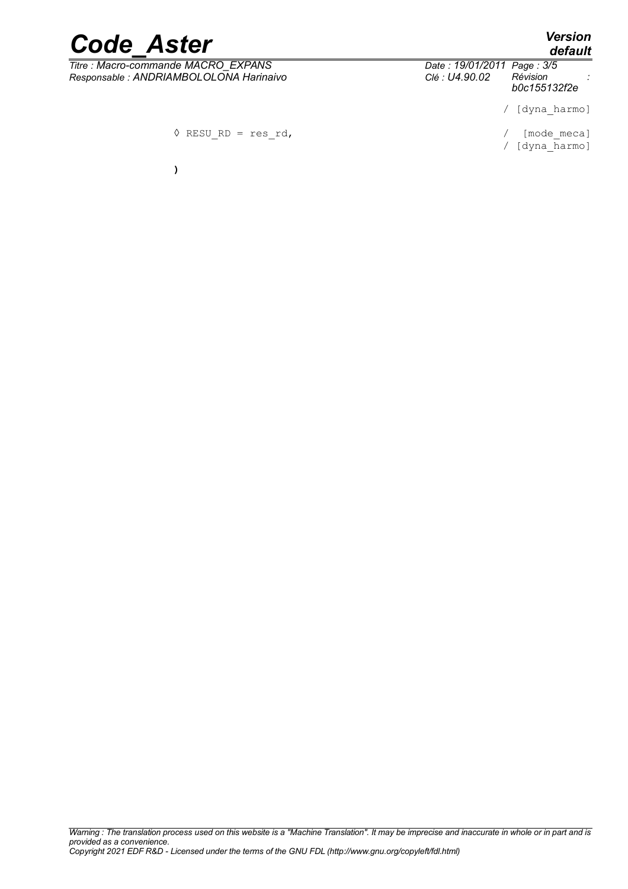*default*

# *Code\_Aster Version*

*Titre : Macro-commande MACRO\_EXPANS Date : 19/01/2011 Page : 3/5 Responsable : ANDRIAMBOLOLONA Harinaivo Clé : U4.90.02 Révision :*

**)**

*b0c155132f2e*

/ [dyna\_harmo]

 $\sqrt{RESURD} = res\ rd$ , / [mode meca]

/ [dyna\_harmo]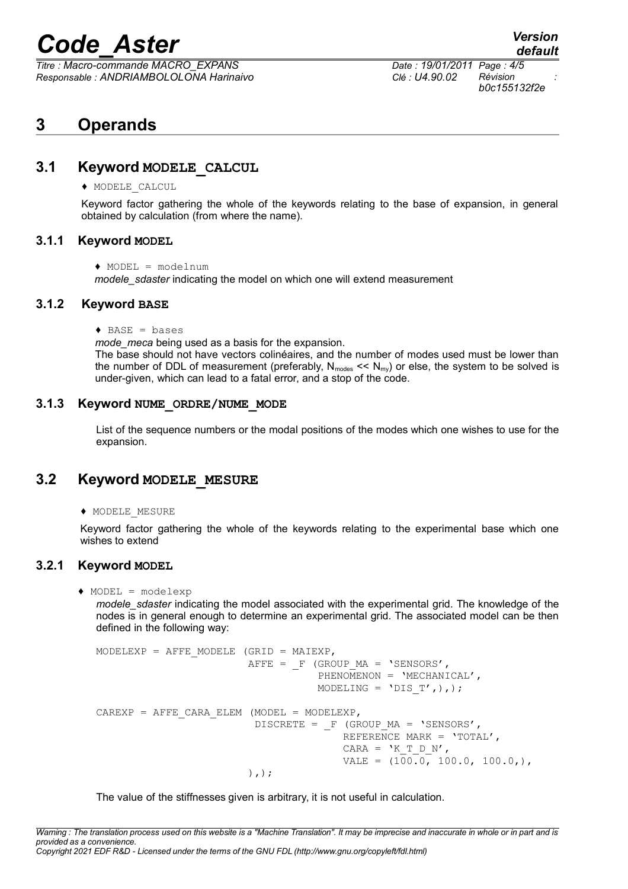# *Code\_Aster Version*

*Titre : Macro-commande MACRO\_EXPANS Date : 19/01/2011 Page : 4/5 Responsable : ANDRIAMBOLOLONA Harinaivo Clé : U4.90.02 Révision :*

*b0c155132f2e*

### **3 Operands**

#### **3.1 Keyword MODELE\_CALCUL**

♦ MODELE\_CALCUL

Keyword factor gathering the whole of the keywords relating to the base of expansion, in general obtained by calculation (from where the name).

#### **3.1.1 Keyword MODEL**

♦ MODEL = modelnum

*modele\_sdaster* indicating the model on which one will extend measurement

#### **3.1.2 Keyword BASE**

 $\triangleleft$  BASE = bases

*mode\_meca* being used as a basis for the expansion.

The base should not have vectors colinéaires, and the number of modes used must be lower than the number of DDL of measurement (preferably,  $N_{modes} \ll N_{mv}$ ) or else, the system to be solved is under-given, which can lead to a fatal error, and a stop of the code.

#### **3.1.3 Keyword NUME\_ORDRE/NUME\_MODE**

List of the sequence numbers or the modal positions of the modes which one wishes to use for the expansion.

#### **3.2 Keyword MODELE\_MESURE**

♦ MODELE\_MESURE

Keyword factor gathering the whole of the keywords relating to the experimental base which one wishes to extend

#### **3.2.1 Keyword MODEL**

♦ MODEL = modelexp

*modele\_sdaster* indicating the model associated with the experimental grid. The knowledge of the nodes is in general enough to determine an experimental grid. The associated model can be then defined in the following way:

```
MODELEXP = AFFE MODELE (GRID = MAIEXP,
                        AFFE = F (GROUP MA = 'SENSORS',
                                   PHENOMENON = 'MECHANICAL',
                                   MODELING = 'DIS T',),;
CAREXP = AFFE CARA ELEM (MODEL = MODELEXP,
                         DISCRETE = F (GROUP MA = 'SENSORS',
                                       REFERENCE MARK = 'TOTAL',
                                       CARA = 'K T D N',VALE = (100.0, 100.0, 100.0) ),);
```
The value of the stiffnesses given is arbitrary, it is not useful in calculation.